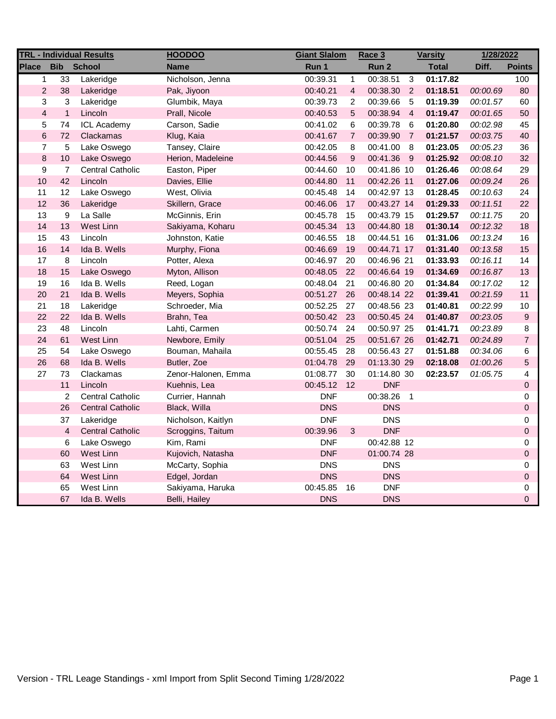| <b>TRL - Individual Results</b> |                |                         | <b>HOODOO</b>       | <b>Giant Slalom</b> |                         | Race 3<br><b>Varsity</b> |                |              | 1/28/2022 |                         |
|---------------------------------|----------------|-------------------------|---------------------|---------------------|-------------------------|--------------------------|----------------|--------------|-----------|-------------------------|
| <b>Place</b>                    | <b>Bib</b>     | <b>School</b>           | <b>Name</b>         | Run 1               |                         | Run 2                    |                | <b>Total</b> | Diff.     | <b>Points</b>           |
| $\mathbf{1}$                    | 33             | Lakeridge               | Nicholson, Jenna    | 00:39.31            | $\mathbf{1}$            | 00:38.51                 | 3              | 01:17.82     |           | 100                     |
| $\overline{2}$                  | 38             | Lakeridge               | Pak, Jiyoon         | 00:40.21            | $\overline{\mathbf{4}}$ | 00:38.30                 | $\overline{2}$ | 01:18.51     | 00:00.69  | 80                      |
| 3                               | 3              | Lakeridge               | Glumbik, Maya       | 00:39.73            | $\overline{c}$          | 00:39.66                 | -5             | 01:19.39     | 00:01.57  | 60                      |
| $\overline{4}$                  | $\mathbf{1}$   | Lincoln                 | Prall, Nicole       | 00:40.53            | 5                       | 00:38.94                 | $\overline{4}$ | 01:19.47     | 00:01.65  | 50                      |
| 5                               | 74             | <b>ICL Academy</b>      | Carson, Sadie       | 00:41.02            | 6                       | 00:39.78                 | 6              | 01:20.80     | 00:02.98  | 45                      |
| $\,6$                           | 72             | Clackamas               | Klug, Kaia          | 00:41.67            | $\overline{7}$          | 00:39.90                 | $\overline{7}$ | 01:21.57     | 00:03.75  | 40                      |
| $\overline{7}$                  | 5              | Lake Oswego             | Tansey, Claire      | 00:42.05            | 8                       | 00:41.00                 | - 8            | 01:23.05     | 00:05.23  | 36                      |
| $\bf 8$                         | 10             | Lake Oswego             | Herion, Madeleine   | 00:44.56            | $\boldsymbol{9}$        | 00:41.36 9               |                | 01:25.92     | 00:08.10  | 32                      |
| $\boldsymbol{9}$                | $\overline{7}$ | <b>Central Catholic</b> | Easton, Piper       | 00:44.60            | 10                      | 00:41.86 10              |                | 01:26.46     | 00:08.64  | 29                      |
| 10                              | 42             | Lincoln                 | Davies, Ellie       | 00:44.80            | 11                      | 00:42.26 11              |                | 01:27.06     | 00:09.24  | 26                      |
| 11                              | 12             | Lake Oswego             | West, Olivia        | 00:45.48            | 14                      | 00:42.97 13              |                | 01:28.45     | 00:10.63  | 24                      |
| 12                              | 36             | Lakeridge               | Skillern, Grace     | 00:46.06            | 17                      | 00:43.27 14              |                | 01:29.33     | 00:11.51  | 22                      |
| 13                              | 9              | La Salle                | McGinnis, Erin      | 00:45.78            | 15                      | 00:43.79 15              |                | 01:29.57     | 00:11.75  | 20                      |
| 14                              | 13             | West Linn               | Sakiyama, Koharu    | 00:45.34            | 13                      | 00:44.80 18              |                | 01:30.14     | 00:12.32  | 18                      |
| 15                              | 43             | Lincoln                 | Johnston, Katie     | 00:46.55            | 18                      | 00:44.51 16              |                | 01:31.06     | 00:13.24  | 16                      |
| 16                              | 14             | Ida B. Wells            | Murphy, Fiona       | 00:46.69            | 19                      | 00:44.71 17              |                | 01:31.40     | 00:13.58  | 15                      |
| 17                              | 8              | Lincoln                 | Potter, Alexa       | 00:46.97            | 20                      | 00:46.96 21              |                | 01:33.93     | 00:16.11  | 14                      |
| 18                              | 15             | Lake Oswego             | Myton, Allison      | 00:48.05            | 22                      | 00:46.64 19              |                | 01:34.69     | 00:16.87  | 13                      |
| 19                              | 16             | Ida B. Wells            | Reed, Logan         | 00:48.04            | 21                      | 00:46.80 20              |                | 01:34.84     | 00:17.02  | 12                      |
| 20                              | 21             | Ida B. Wells            | Meyers, Sophia      | 00:51.27            | 26                      | 00:48.14 22              |                | 01:39.41     | 00:21.59  | 11                      |
| 21                              | 18             | Lakeridge               | Schroeder, Mia      | 00:52.25            | 27                      | 00:48.56 23              |                | 01:40.81     | 00:22.99  | $10$                    |
| 22                              | 22             | Ida B. Wells            | Brahn, Tea          | 00:50.42            | 23                      | 00:50.45 24              |                | 01:40.87     | 00:23.05  | $\boldsymbol{9}$        |
| 23                              | 48             | Lincoln                 | Lahti, Carmen       | 00:50.74            | 24                      | 00:50.97 25              |                | 01:41.71     | 00:23.89  | 8                       |
| 24                              | 61             | West Linn               | Newbore, Emily      | 00:51.04            | 25                      | 00:51.67 26              |                | 01:42.71     | 00:24.89  | $\overline{7}$          |
| 25                              | 54             | Lake Oswego             | Bouman, Mahaila     | 00:55.45            | 28                      | 00:56.43 27              |                | 01:51.88     | 00:34.06  | 6                       |
| 26                              | 68             | Ida B. Wells            | Butler, Zoe         | 01:04.78            | 29                      | 01:13.30 29              |                | 02:18.08     | 01:00.26  | 5                       |
| 27                              | 73             | Clackamas               | Zenor-Halonen, Emma | 01:08.77            | 30                      | 01:14.80 30              |                | 02:23.57     | 01:05.75  | $\overline{\mathbf{4}}$ |
|                                 | 11             | Lincoln                 | Kuehnis, Lea        | 00:45.12            | 12                      | <b>DNF</b>               |                |              |           | $\mathsf 0$             |
|                                 | $\overline{c}$ | <b>Central Catholic</b> | Currier, Hannah     | <b>DNF</b>          |                         | 00:38.26                 | $\overline{1}$ |              |           | 0                       |
|                                 | 26             | <b>Central Catholic</b> | Black, Willa        | <b>DNS</b>          |                         | <b>DNS</b>               |                |              |           | $\mathsf 0$             |
|                                 | 37             | Lakeridge               | Nicholson, Kaitlyn  | <b>DNF</b>          |                         | <b>DNS</b>               |                |              |           | 0                       |
|                                 | $\overline{4}$ | <b>Central Catholic</b> | Scroggins, Taitum   | 00:39.96            | 3                       | <b>DNF</b>               |                |              |           | 0                       |
|                                 | 6              | Lake Oswego             | Kim, Rami           | <b>DNF</b>          |                         | 00:42.88 12              |                |              |           | 0                       |
|                                 | 60             | West Linn               | Kujovich, Natasha   | <b>DNF</b>          |                         | 01:00.74 28              |                |              |           | $\mathsf 0$             |
|                                 | 63             | West Linn               | McCarty, Sophia     | <b>DNS</b>          |                         | <b>DNS</b>               |                |              |           | 0                       |
|                                 | 64             | West Linn               | Edgel, Jordan       | <b>DNS</b>          |                         | <b>DNS</b>               |                |              |           | $\mathsf 0$             |
|                                 | 65             | West Linn               | Sakiyama, Haruka    | 00:45.85            | 16                      | <b>DNF</b>               |                |              |           | 0                       |
|                                 | 67             | Ida B. Wells            | Belli, Hailey       | <b>DNS</b>          |                         | <b>DNS</b>               |                |              |           | 0                       |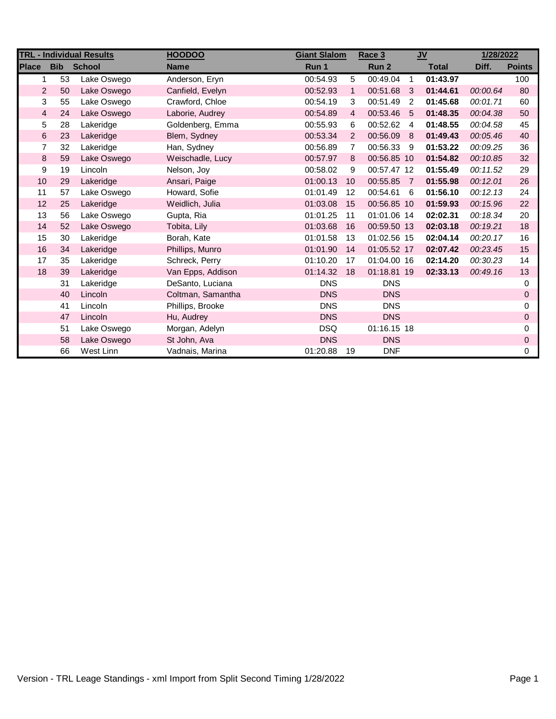| <b>TRL - Individual Results</b> |            |               | <b>HOODOO</b>     |            | <b>Giant Slalom</b><br>Race 3 |             | $u$            |              | 1/28/2022 |               |
|---------------------------------|------------|---------------|-------------------|------------|-------------------------------|-------------|----------------|--------------|-----------|---------------|
| <b>Place</b>                    | <b>Bib</b> | <b>School</b> | <b>Name</b>       | Run 1      |                               | Run 2       |                | <b>Total</b> | Diff.     | <b>Points</b> |
| 1                               | 53         | Lake Oswego   | Anderson, Eryn    | 00:54.93   | 5                             | 00:49.04    | $\overline{1}$ | 01:43.97     |           | 100           |
| $\overline{2}$                  | 50         | Lake Oswego   | Canfield, Evelyn  | 00:52.93   | $\mathbf{1}$                  | 00:51.68    | -3             | 01:44.61     | 00:00.64  | 80            |
| 3                               | 55         | Lake Oswego   | Crawford, Chloe   | 00:54.19   | 3                             | 00:51.49 2  |                | 01:45.68     | 00:01.71  | 60            |
| $\overline{4}$                  | 24         | Lake Oswego   | Laborie, Audrey   | 00:54.89   | $\overline{4}$                | 00:53.46 5  |                | 01:48.35     | 00:04.38  | 50            |
| 5                               | 28         | Lakeridge     | Goldenberg, Emma  | 00:55.93   | 6                             | 00:52.62    | $\overline{4}$ | 01:48.55     | 00:04.58  | 45            |
| $\,6\,$                         | 23         | Lakeridge     | Blem, Sydney      | 00:53.34   | 2                             | 00:56.09 8  |                | 01:49.43     | 00:05.46  | 40            |
| $\overline{7}$                  | 32         | Lakeridge     | Han, Sydney       | 00:56.89   | $\overline{7}$                | 00:56.33 9  |                | 01:53.22     | 00:09.25  | 36            |
| 8                               | 59         | Lake Oswego   | Weischadle, Lucy  | 00:57.97   | 8                             | 00:56.85 10 |                | 01:54.82     | 00:10.85  | 32            |
| 9                               | 19         | Lincoln       | Nelson, Joy       | 00:58.02   | 9                             | 00:57.47 12 |                | 01:55.49     | 00:11.52  | 29            |
| 10                              | 29         | Lakeridge     | Ansari, Paige     | 01:00.13   | 10                            | 00:55.85 7  |                | 01:55.98     | 00:12.01  | 26            |
| 11                              | 57         | Lake Oswego   | Howard, Sofie     | 01:01.49   | 12                            | 00:54.61 6  |                | 01:56.10     | 00:12.13  | 24            |
| 12                              | 25         | Lakeridge     | Weidlich, Julia   | 01:03.08   | 15                            | 00:56.85 10 |                | 01:59.93     | 00:15.96  | 22            |
| 13                              | 56         | Lake Oswego   | Gupta, Ria        | 01:01.25   | 11                            | 01:01.06 14 |                | 02:02.31     | 00:18.34  | 20            |
| 14                              | 52         | Lake Oswego   | Tobita, Lily      | 01:03.68   | 16                            | 00:59.50 13 |                | 02:03.18     | 00:19.21  | 18            |
| 15                              | 30         | Lakeridge     | Borah, Kate       | 01:01.58   | 13                            | 01:02.56 15 |                | 02:04.14     | 00:20.17  | 16            |
| 16                              | 34         | Lakeridge     | Phillips, Munro   | 01:01.90   | 14                            | 01:05.52 17 |                | 02:07.42     | 00:23.45  | 15            |
| 17                              | 35         | Lakeridge     | Schreck, Perry    | 01:10.20   | 17                            | 01:04.00 16 |                | 02:14.20     | 00:30.23  | 14            |
| 18                              | 39         | Lakeridge     | Van Epps, Addison | 01:14.32   | 18                            | 01:18.81 19 |                | 02:33.13     | 00:49.16  | 13            |
|                                 | 31         | Lakeridge     | DeSanto, Luciana  | <b>DNS</b> |                               | <b>DNS</b>  |                |              |           | 0             |
|                                 | 40         | Lincoln       | Coltman, Samantha | <b>DNS</b> |                               | <b>DNS</b>  |                |              |           | $\pmb{0}$     |
|                                 | 41         | Lincoln       | Phillips, Brooke  | <b>DNS</b> |                               | <b>DNS</b>  |                |              |           | 0             |
|                                 | 47         | Lincoln       | Hu, Audrey        | <b>DNS</b> |                               | <b>DNS</b>  |                |              |           | $\mathbf 0$   |
|                                 | 51         | Lake Oswego   | Morgan, Adelyn    | <b>DSQ</b> |                               | 01:16.15 18 |                |              |           | 0             |
|                                 | 58         | Lake Oswego   | St John, Ava      | <b>DNS</b> |                               | <b>DNS</b>  |                |              |           | $\mathbf 0$   |
|                                 | 66         | West Linn     | Vadnais, Marina   | 01:20.88   | -19                           | <b>DNF</b>  |                |              |           | $\mathbf 0$   |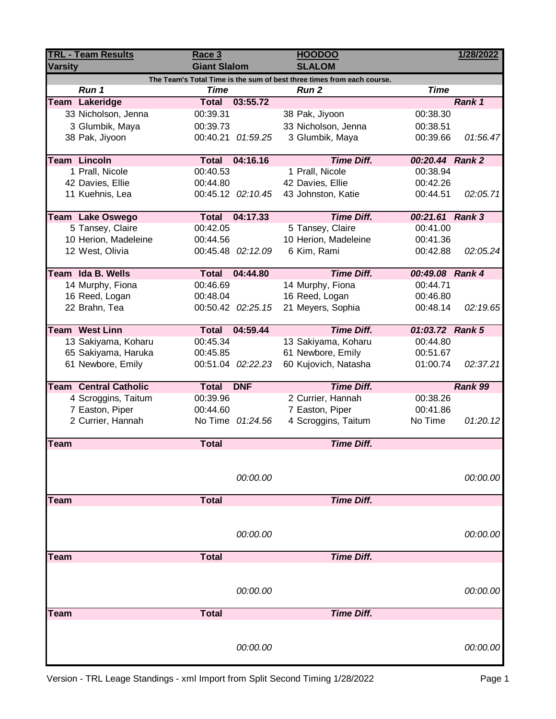| <b>TRL - Team Results</b>                                              |                                              | Race 3                      |                   | <b>HOODOO</b>        | 1/28/2022       |          |  |  |  |
|------------------------------------------------------------------------|----------------------------------------------|-----------------------------|-------------------|----------------------|-----------------|----------|--|--|--|
| <b>Varsity</b>                                                         |                                              | <b>Giant Slalom</b>         |                   | <b>SLALOM</b>        |                 |          |  |  |  |
| The Team's Total Time is the sum of best three times from each course. |                                              |                             |                   |                      |                 |          |  |  |  |
|                                                                        | Run 1                                        | <b>Time</b><br><b>Total</b> | 03:55.72          | Run <sub>2</sub>     | <b>Time</b>     |          |  |  |  |
|                                                                        | <b>Team Lakeridge</b><br>33 Nicholson, Jenna |                             |                   |                      |                 | Rank 1   |  |  |  |
|                                                                        |                                              | 00:39.31                    |                   | 38 Pak, Jiyoon       | 00:38.30        |          |  |  |  |
|                                                                        | 3 Glumbik, Maya                              | 00:39.73                    |                   | 33 Nicholson, Jenna  | 00:38.51        |          |  |  |  |
|                                                                        | 38 Pak, Jiyoon                               |                             | 00:40.21 01:59.25 | 3 Glumbik, Maya      | 00:39.66        | 01:56.47 |  |  |  |
|                                                                        | <b>Team Lincoln</b>                          | <b>Total</b>                | 04:16.16          | <b>Time Diff.</b>    | 00:20.44 Rank 2 |          |  |  |  |
|                                                                        | 1 Prall, Nicole                              | 00:40.53                    |                   | 1 Prall, Nicole      | 00:38.94        |          |  |  |  |
|                                                                        | 42 Davies, Ellie                             | 00:44.80                    |                   | 42 Davies, Ellie     | 00:42.26        |          |  |  |  |
|                                                                        | 11 Kuehnis, Lea                              |                             | 00:45.12 02:10.45 | 43 Johnston, Katie   | 00:44.51        | 02:05.71 |  |  |  |
|                                                                        | <b>Team Lake Oswego</b>                      | <b>Total</b>                | 04:17.33          | <b>Time Diff.</b>    | 00:21.61 Rank 3 |          |  |  |  |
|                                                                        | 5 Tansey, Claire                             | 00:42.05                    |                   | 5 Tansey, Claire     | 00:41.00        |          |  |  |  |
|                                                                        | 10 Herion, Madeleine                         | 00:44.56                    |                   | 10 Herion, Madeleine | 00:41.36        |          |  |  |  |
|                                                                        | 12 West, Olivia                              |                             | 00:45.48 02:12.09 | 6 Kim, Rami          | 00:42.88        | 02:05.24 |  |  |  |
|                                                                        |                                              |                             |                   |                      |                 |          |  |  |  |
|                                                                        | Team Ida B. Wells                            | Total                       | 04:44.80          | <b>Time Diff.</b>    | 00:49.08 Rank 4 |          |  |  |  |
|                                                                        | 14 Murphy, Fiona                             | 00:46.69                    |                   | 14 Murphy, Fiona     | 00:44.71        |          |  |  |  |
|                                                                        | 16 Reed, Logan                               | 00:48.04                    |                   | 16 Reed, Logan       | 00:46.80        |          |  |  |  |
|                                                                        | 22 Brahn, Tea                                |                             | 00:50.42 02:25.15 | 21 Meyers, Sophia    | 00:48.14        | 02:19.65 |  |  |  |
|                                                                        | <b>Team West Linn</b>                        | <b>Total</b>                | 04:59.44          | <b>Time Diff.</b>    | 01:03.72 Rank 5 |          |  |  |  |
|                                                                        | 13 Sakiyama, Koharu                          | 00:45.34                    |                   | 13 Sakiyama, Koharu  | 00:44.80        |          |  |  |  |
|                                                                        | 65 Sakiyama, Haruka                          | 00:45.85                    |                   | 61 Newbore, Emily    | 00:51.67        |          |  |  |  |
|                                                                        | 61 Newbore, Emily                            |                             | 00:51.04 02:22.23 | 60 Kujovich, Natasha | 01:00.74        | 02:37.21 |  |  |  |
|                                                                        | <b>Team Central Catholic</b>                 | <b>Total</b>                | <b>DNF</b>        | <b>Time Diff.</b>    |                 | Rank 99  |  |  |  |
|                                                                        | 4 Scroggins, Taitum                          | 00:39.96                    |                   | 2 Currier, Hannah    | 00:38.26        |          |  |  |  |
|                                                                        | 7 Easton, Piper                              | 00:44.60                    |                   | 7 Easton, Piper      | 00:41.86        |          |  |  |  |
|                                                                        | 2 Currier, Hannah                            |                             | No Time 01:24.56  | 4 Scroggins, Taitum  | No Time         | 01:20.12 |  |  |  |
|                                                                        |                                              |                             |                   |                      |                 |          |  |  |  |
| <b>Team</b>                                                            |                                              | <b>Total</b>                |                   | <b>Time Diff.</b>    |                 |          |  |  |  |
|                                                                        |                                              |                             |                   |                      |                 |          |  |  |  |
|                                                                        |                                              |                             | 00:00.00          |                      |                 | 00:00.00 |  |  |  |
| <b>Team</b>                                                            |                                              | <b>Total</b>                |                   | <b>Time Diff.</b>    |                 |          |  |  |  |
|                                                                        |                                              |                             |                   |                      |                 |          |  |  |  |
|                                                                        |                                              |                             |                   |                      |                 |          |  |  |  |
|                                                                        |                                              |                             | 00:00.00          |                      |                 | 00:00.00 |  |  |  |
| Team                                                                   |                                              | <b>Total</b>                |                   | <b>Time Diff.</b>    |                 |          |  |  |  |
|                                                                        |                                              |                             |                   |                      |                 |          |  |  |  |
|                                                                        |                                              |                             |                   |                      |                 |          |  |  |  |
|                                                                        |                                              |                             | 00:00.00          |                      |                 | 00:00.00 |  |  |  |
| Team                                                                   |                                              | <b>Total</b>                |                   | <b>Time Diff.</b>    |                 |          |  |  |  |
|                                                                        |                                              |                             |                   |                      |                 |          |  |  |  |
|                                                                        |                                              |                             |                   |                      |                 |          |  |  |  |
|                                                                        |                                              |                             | 00:00.00          |                      |                 | 00:00.00 |  |  |  |